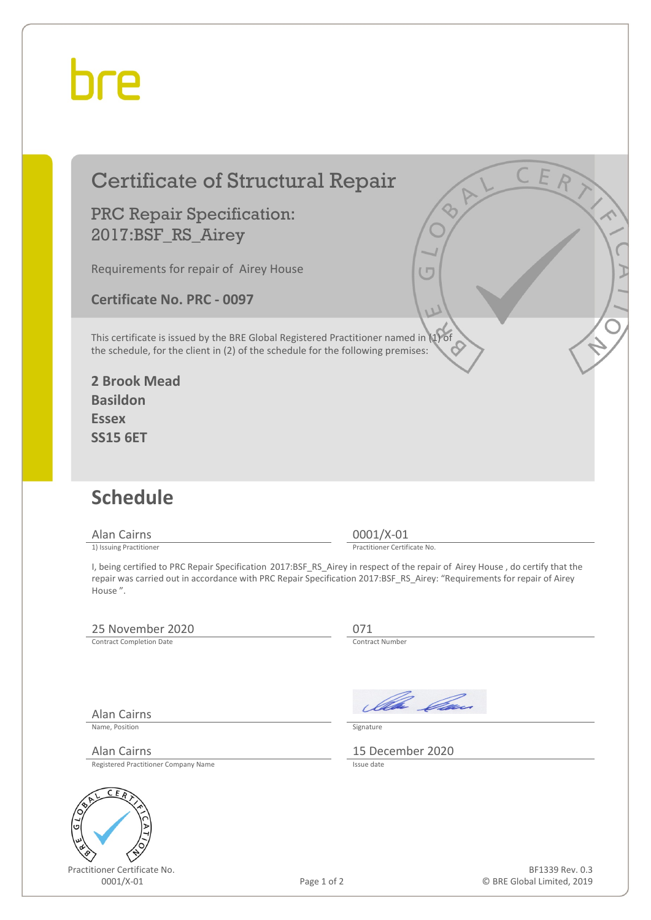## bre

#### Certificate of Structural Repair

PRC Repair Specification: 2017:BSF\_RS\_Airey

Requirements for repair of Airey House

**Certificate No. PRC - 0097**

This certificate is issued by the BRE Global Registered Practitioner named in (1) of the schedule, for the client in (2) of the schedule for the following premises:

**2 Brook Mead Basildon Essex SS15 6ET**

### **Schedule**

Alan Cairns 0001/X-01<br>
1) Issuing Practitioner<br>
1) Issuing Practitioner

Practitioner Certificate No.

I, being certified to PRC Repair Specification 2017:BSF\_RS\_Airey in respect of the repair of Airey House , do certify that the repair was carried out in accordance with PRC Repair Specification 2017:BSF\_RS\_Airey: "Requirements for repair of Airey House ".

#### 25 November 2020<br>
Contract Completion Date<br>
Contract Number

Contract Completion Date

Alan Cairns

Name, Position Signature

Registered Practitioner Company Name



Practitioner Certificate No.

Ila *Om* 

Alan Cairns 15 December 2020

Page 1 of 2